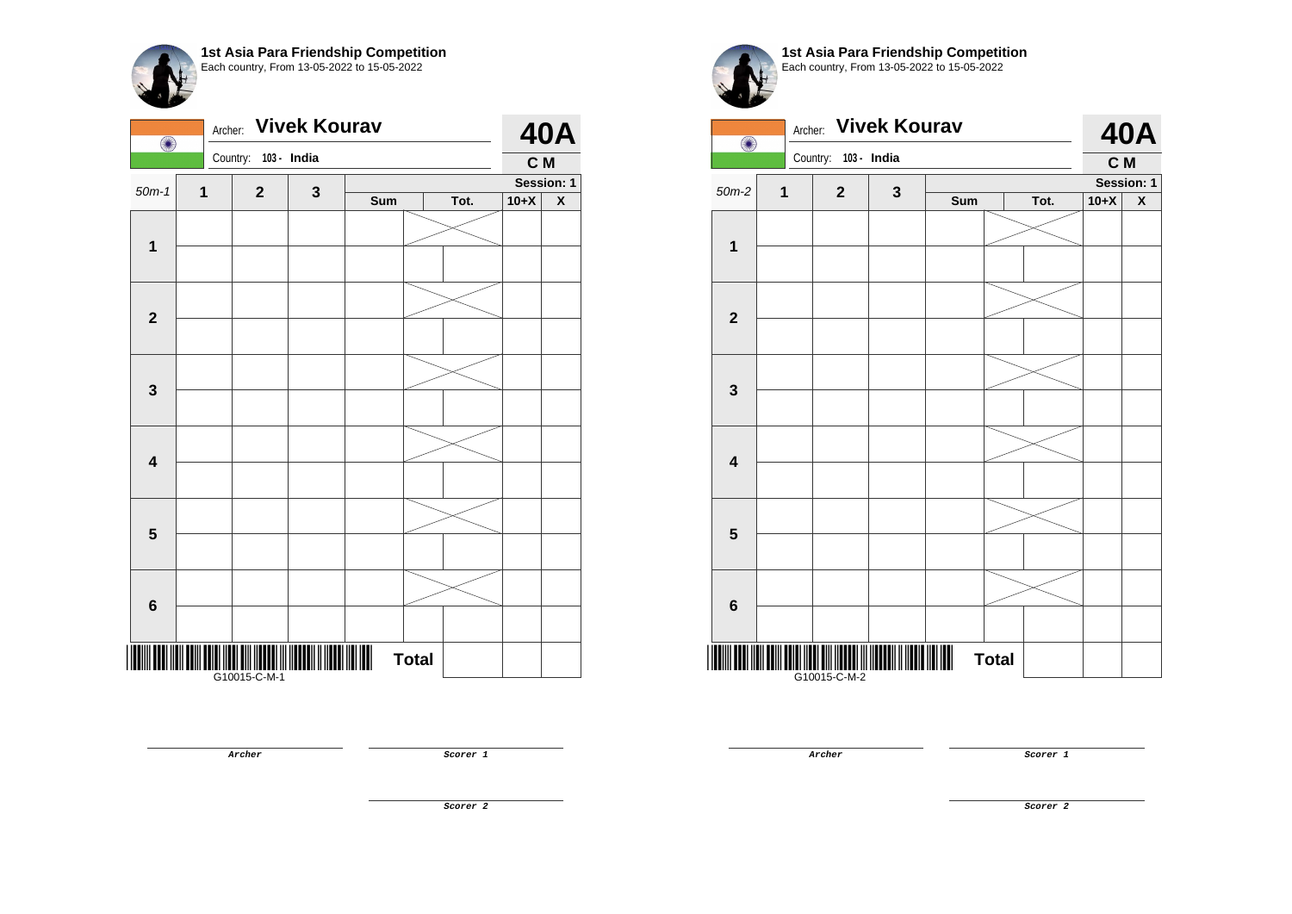| O                       | Archer: |              |              | <b>40A</b> |              |      |        |                         |
|-------------------------|---------|--------------|--------------|------------|--------------|------|--------|-------------------------|
|                         |         | Country:     | 103 - India  |            |              |      | C M    |                         |
| $50m-1$                 | 1       | $\mathbf{2}$ | $\mathbf{3}$ |            |              |      |        | Session: 1              |
|                         |         |              |              | Sum        |              | Tot. | $10+X$ | $\overline{\mathbf{X}}$ |
|                         |         |              |              |            |              |      |        |                         |
| $\mathbf 1$             |         |              |              |            |              |      |        |                         |
| $\mathbf{2}$            |         |              |              |            |              |      |        |                         |
|                         |         |              |              |            |              |      |        |                         |
|                         |         |              |              |            |              |      |        |                         |
| $\mathbf 3$             |         |              |              |            |              |      |        |                         |
|                         |         |              |              |            |              |      |        |                         |
| $\overline{\mathbf{4}}$ |         |              |              |            |              |      |        |                         |
|                         |         |              |              |            |              |      |        |                         |
| $\overline{\mathbf{5}}$ |         |              |              |            |              |      |        |                         |
|                         |         |              |              |            |              |      |        |                         |
| $\bf 6$                 |         |              |              |            |              |      |        |                         |
|                         |         | G10015-C-M-1 |              |            | <b>Total</b> |      |        |                         |

**Archer Scorer 1** 



**1st Asia Para Friendship Competition** Each country, From 13-05-2022 to 15-05-2022

| $\bigcirc$              | Archer: |              | <b>Vivek Kourav</b> |     |              |      |        | <b>40A</b>         |
|-------------------------|---------|--------------|---------------------|-----|--------------|------|--------|--------------------|
|                         |         | Country:     | 103 - India         |     |              |      | C M    |                    |
| $50m-2$                 | 1       | $\mathbf{2}$ | $\mathbf{3}$        |     |              |      |        | Session: 1         |
|                         |         |              |                     | Sum |              | Tot. | $10+X$ | $\pmb{\mathsf{X}}$ |
| $\mathbf 1$             |         |              |                     |     |              |      |        |                    |
|                         |         |              |                     |     |              |      |        |                    |
| $\overline{2}$          |         |              |                     |     |              |      |        |                    |
|                         |         |              |                     |     |              |      |        |                    |
| 3                       |         |              |                     |     |              |      |        |                    |
|                         |         |              |                     |     |              |      |        |                    |
| $\overline{\mathbf{4}}$ |         |              |                     |     |              |      |        |                    |
|                         |         |              |                     |     |              |      |        |                    |
|                         |         |              |                     |     |              |      |        |                    |
| $5\phantom{1}$          |         |              |                     |     |              |      |        |                    |
|                         |         |              |                     |     |              |      |        |                    |
| $\bf 6$                 |         |              |                     |     |              |      |        |                    |
|                         |         | G10015-C-M-2 |                     |     | <b>Total</b> |      |        |                    |

**Archer Scorer 1**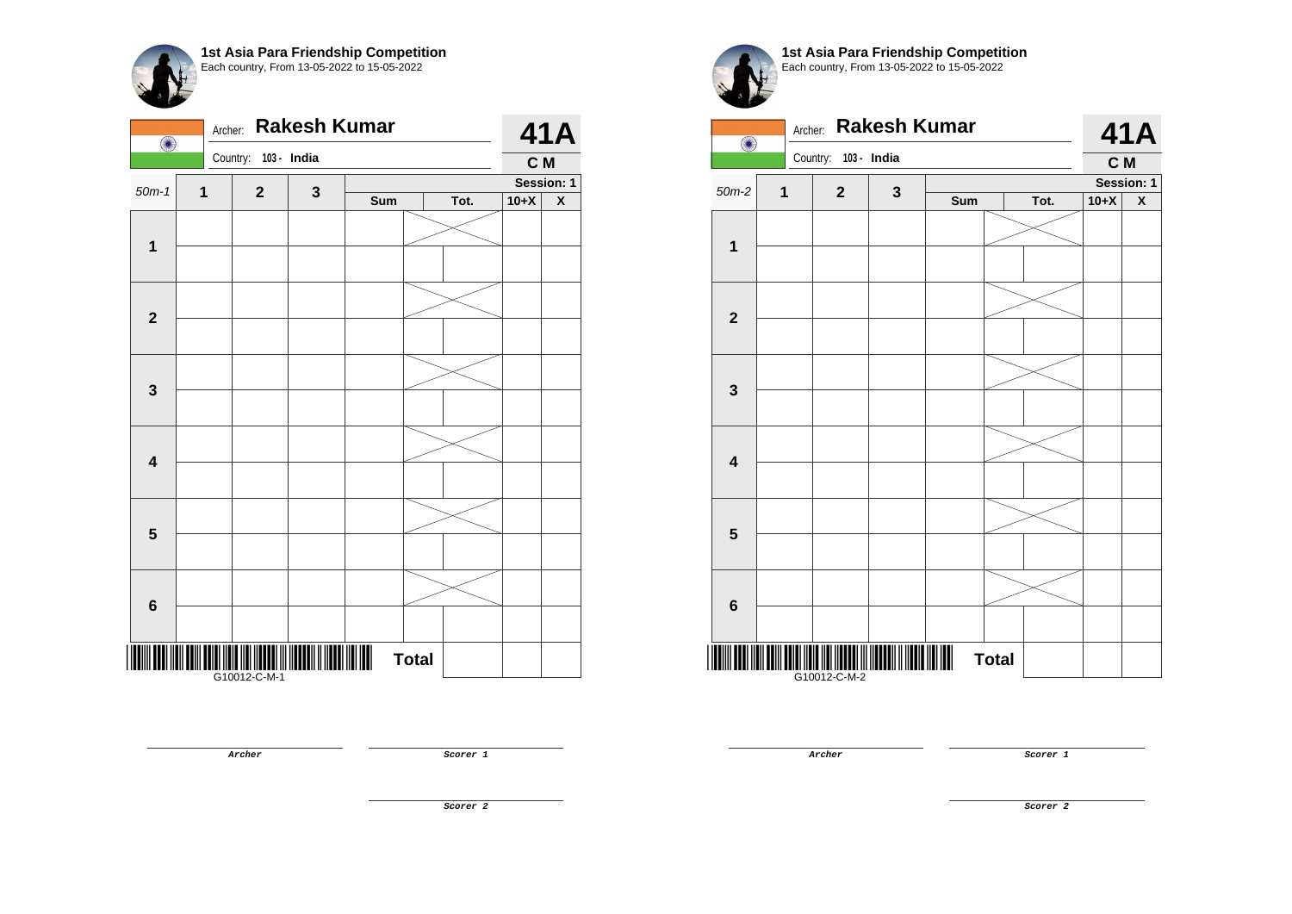| O                       | Archer: |                         | <b>Rakesh Kumar</b> |     |              |      |        | 41A                |
|-------------------------|---------|-------------------------|---------------------|-----|--------------|------|--------|--------------------|
|                         |         | Country:<br>103 - India |                     |     |              |      | C M    |                    |
| $50m-1$                 | 1       | $\mathbf 2$             | 3                   |     |              |      |        | Session: 1         |
|                         |         |                         |                     | Sum |              | Tot. | $10+X$ | $\pmb{\mathsf{X}}$ |
|                         |         |                         |                     |     |              |      |        |                    |
| $\mathbf{1}$            |         |                         |                     |     |              |      |        |                    |
|                         |         |                         |                     |     |              |      |        |                    |
|                         |         |                         |                     |     |              |      |        |                    |
| $\mathbf{2}$            |         |                         |                     |     |              |      |        |                    |
|                         |         |                         |                     |     |              |      |        |                    |
|                         |         |                         |                     |     |              |      |        |                    |
| $\mathbf 3$             |         |                         |                     |     |              |      |        |                    |
|                         |         |                         |                     |     |              |      |        |                    |
|                         |         |                         |                     |     |              |      |        |                    |
| $\overline{\mathbf{4}}$ |         |                         |                     |     |              |      |        |                    |
|                         |         |                         |                     |     |              |      |        |                    |
|                         |         |                         |                     |     |              |      |        |                    |
| $\overline{\mathbf{5}}$ |         |                         |                     |     |              |      |        |                    |
|                         |         |                         |                     |     |              |      |        |                    |
|                         |         |                         |                     |     |              |      |        |                    |
| $\bf 6$                 |         |                         |                     |     |              |      |        |                    |
|                         |         |                         |                     |     |              |      |        |                    |
|                         |         |                         |                     |     | <b>Total</b> |      |        |                    |
|                         |         | G10012-C-M-1            |                     |     |              |      |        |                    |

**1st Asia Para Friendship Competition** Each country, From 13-05-2022 to 15-05-2022

| <b>Rakesh Kumar</b><br>Archer:<br>$\bigcirc$ |              |                      |              |     |              |      |        | <b>41A</b><br>Session: 1<br>$\pmb{\mathsf{X}}$ |
|----------------------------------------------|--------------|----------------------|--------------|-----|--------------|------|--------|------------------------------------------------|
|                                              |              | Country: 103 - India |              |     |              |      | C M    |                                                |
| $50m-2$                                      | $\mathbf{1}$ | $\mathbf{2}$         |              |     |              |      |        |                                                |
|                                              |              |                      | $\mathbf{3}$ | Sum |              | Tot. | $10+X$ |                                                |
| $\mathbf 1$                                  |              |                      |              |     |              |      |        |                                                |
|                                              |              |                      |              |     |              |      |        |                                                |
|                                              |              |                      |              |     |              |      |        |                                                |
| $\overline{2}$                               |              |                      |              |     |              |      |        |                                                |
|                                              |              |                      |              |     |              |      |        |                                                |
| $\mathbf{3}$                                 |              |                      |              |     |              |      |        |                                                |
|                                              |              |                      |              |     |              |      |        |                                                |
| $\overline{\mathbf{4}}$                      |              |                      |              |     |              |      |        |                                                |
|                                              |              |                      |              |     |              |      |        |                                                |
| $5\phantom{1}$                               |              |                      |              |     |              |      |        |                                                |
|                                              |              |                      |              |     |              |      |        |                                                |
| $6\phantom{1}$                               |              |                      |              |     |              |      |        |                                                |
|                                              |              | G10012-C-M-2         |              |     | <b>Total</b> |      |        |                                                |

**Archer Scorer 1** 

**Archer Scorer 1** 

**Scorer 2**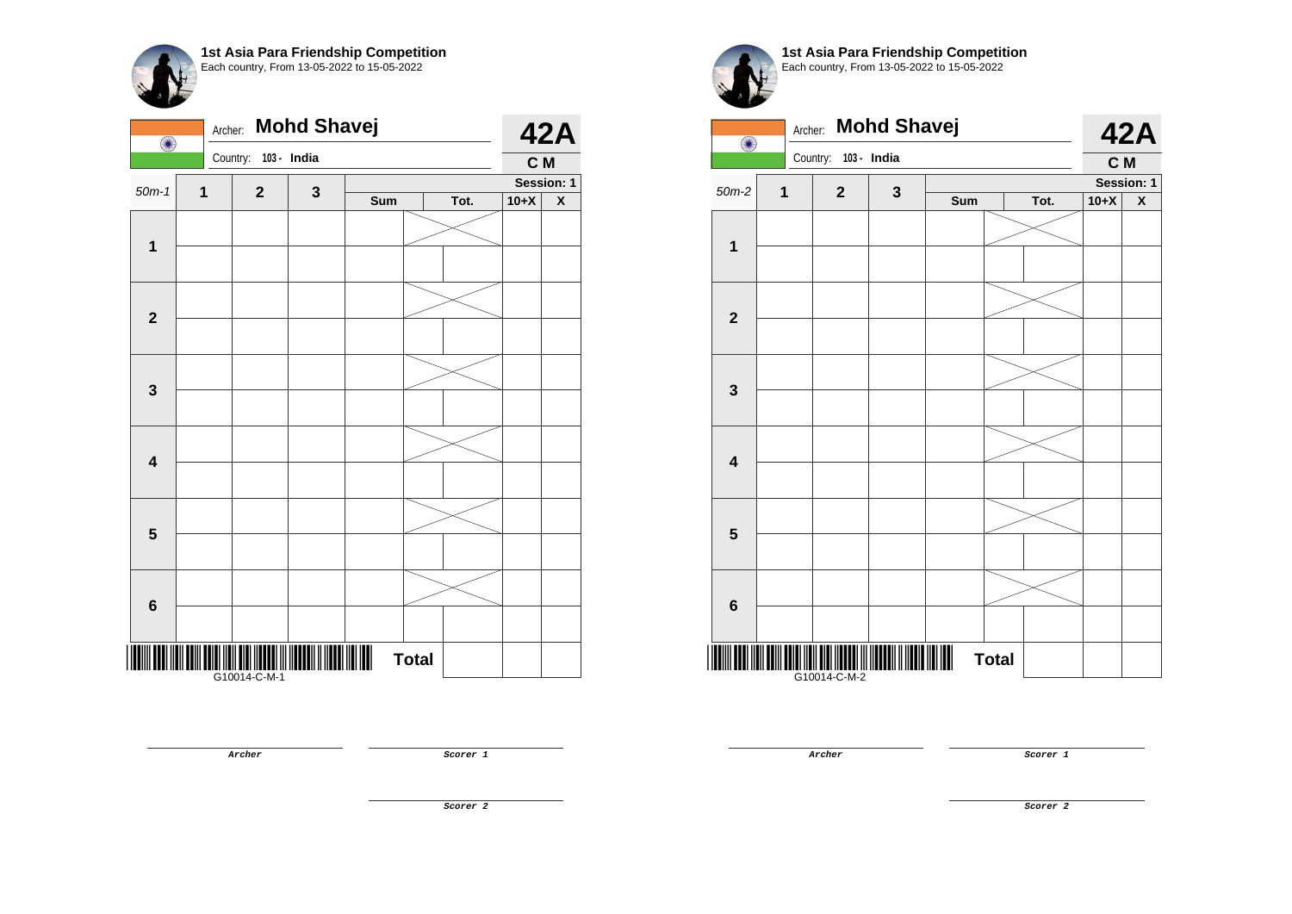| O                       | Archer:     |              | <b>Mohd Shavej</b> |     |              |      |        | <b>42A</b>              |
|-------------------------|-------------|--------------|--------------------|-----|--------------|------|--------|-------------------------|
|                         |             | Country:     | 103 - India        |     |              |      | C M    |                         |
| $50m-1$                 | $\mathbf 1$ | $\mathbf{2}$ | 3                  |     |              |      |        | Session: 1              |
|                         |             |              |                    | Sum |              | Tot. | $10+X$ | $\overline{\textbf{X}}$ |
| $\mathbf 1$             |             |              |                    |     |              |      |        |                         |
|                         |             |              |                    |     |              |      |        |                         |
| $\mathbf{2}$            |             |              |                    |     |              |      |        |                         |
|                         |             |              |                    |     |              |      |        |                         |
|                         |             |              |                    |     |              |      |        |                         |
| $\mathbf{3}$            |             |              |                    |     |              |      |        |                         |
|                         |             |              |                    |     |              |      |        |                         |
| $\overline{\mathbf{4}}$ |             |              |                    |     |              |      |        |                         |
|                         |             |              |                    |     |              |      |        |                         |
| 5                       |             |              |                    |     |              |      |        |                         |
|                         |             |              |                    |     |              |      |        |                         |
| $6\phantom{1}6$         |             |              |                    |     |              |      |        |                         |
|                         |             | G10014-C-M-1 |                    |     | <b>Total</b> |      |        |                         |

**1st Asia Para Friendship Competition** Each country, From 13-05-2022 to 15-05-2022

| O                       | Archer:     |              | <b>Mohd Shavej</b> |     |              |      |        | <b>42A</b> |
|-------------------------|-------------|--------------|--------------------|-----|--------------|------|--------|------------|
|                         |             | Country:     | 103 - India        |     |              |      | C M    |            |
| $50m-2$                 | $\mathbf 1$ | $\mathbf{2}$ | 3                  |     |              |      |        | Session: 1 |
|                         |             |              |                    | Sum |              | Tot. | $10+X$ | X          |
| 1                       |             |              |                    |     |              |      |        |            |
|                         |             |              |                    |     |              |      |        |            |
|                         |             |              |                    |     |              |      |        |            |
| $\overline{\mathbf{2}}$ |             |              |                    |     |              |      |        |            |
|                         |             |              |                    |     |              |      |        |            |
| 3                       |             |              |                    |     |              |      |        |            |
|                         |             |              |                    |     |              |      |        |            |
| $\overline{\mathbf{4}}$ |             |              |                    |     |              |      |        |            |
|                         |             |              |                    |     |              |      |        |            |
| 5                       |             |              |                    |     |              |      |        |            |
|                         |             |              |                    |     |              |      |        |            |
| $\bf 6$                 |             |              |                    |     |              |      |        |            |
|                         |             | G10014-C-M-2 |                    |     | <b>Total</b> |      |        |            |

**Archer Scorer 1** 

**Scorer 2**

**Archer Scorer 1**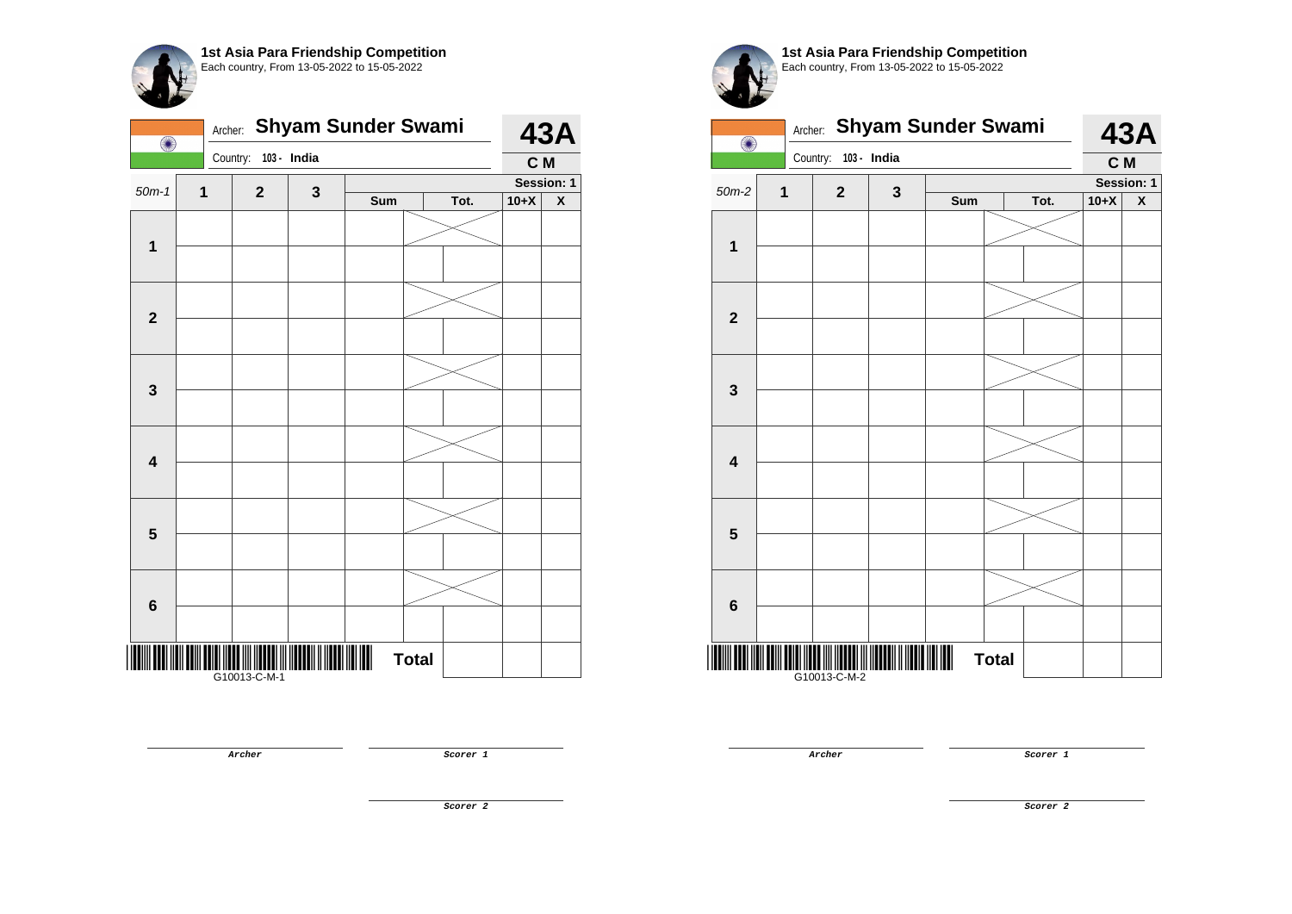

| O                       |   | <b>Shyam Sunder Swami</b><br>Archer: |             |     |              |      |        | <b>43A</b>                |
|-------------------------|---|--------------------------------------|-------------|-----|--------------|------|--------|---------------------------|
|                         |   | Country:                             | 103 - India |     |              |      | C M    |                           |
| $50m-1$                 | 1 | $\mathbf{2}$                         | 3           |     |              |      |        | Session: 1                |
|                         |   |                                      |             | Sum |              | Tot. | $10+X$ | $\boldsymbol{\mathsf{x}}$ |
|                         |   |                                      |             |     |              |      |        |                           |
| $\mathbf{1}$            |   |                                      |             |     |              |      |        |                           |
|                         |   |                                      |             |     |              |      |        |                           |
|                         |   |                                      |             |     |              |      |        |                           |
| $\mathbf{2}$            |   |                                      |             |     |              |      |        |                           |
|                         |   |                                      |             |     |              |      |        |                           |
|                         |   |                                      |             |     |              |      |        |                           |
|                         |   |                                      |             |     |              |      |        |                           |
| $\mathbf 3$             |   |                                      |             |     |              |      |        |                           |
|                         |   |                                      |             |     |              |      |        |                           |
|                         |   |                                      |             |     |              |      |        |                           |
| $\overline{\mathbf{4}}$ |   |                                      |             |     |              |      |        |                           |
|                         |   |                                      |             |     |              |      |        |                           |
|                         |   |                                      |             |     |              |      |        |                           |
| 5                       |   |                                      |             |     |              |      |        |                           |
|                         |   |                                      |             |     |              |      |        |                           |
|                         |   |                                      |             |     |              |      |        |                           |
|                         |   |                                      |             |     |              |      |        |                           |
| $\boldsymbol{6}$        |   |                                      |             |     |              |      |        |                           |
|                         |   |                                      |             |     |              |      |        |                           |
| Ш                       |   |                                      |             |     | <b>Total</b> |      |        |                           |
|                         |   | G10013-C-M-1                         |             |     |              |      |        |                           |

|                         | <b>Shyam Sunder Swami</b><br>Archer:<br>$\bullet$ |                      |              |     |              |      |        | <b>43A</b>         |
|-------------------------|---------------------------------------------------|----------------------|--------------|-----|--------------|------|--------|--------------------|
|                         |                                                   | Country: 103 - India |              |     |              |      | C M    |                    |
| $50m-2$                 | 1                                                 | $\mathbf{2}$         | $\mathbf{3}$ |     |              |      |        | Session: 1         |
|                         |                                                   |                      |              | Sum |              | Tot. | $10+X$ | $\pmb{\mathsf{X}}$ |
|                         |                                                   |                      |              |     |              |      |        |                    |
| $\overline{\mathbf{1}}$ |                                                   |                      |              |     |              |      |        |                    |
|                         |                                                   |                      |              |     |              |      |        |                    |
| $\mathbf{2}$            |                                                   |                      |              |     |              |      |        |                    |
|                         |                                                   |                      |              |     |              |      |        |                    |
| $\mathbf{3}$            |                                                   |                      |              |     |              |      |        |                    |
|                         |                                                   |                      |              |     |              |      |        |                    |
| $\overline{\mathbf{4}}$ |                                                   |                      |              |     |              |      |        |                    |
|                         |                                                   |                      |              |     |              |      |        |                    |
| $5\phantom{1}$          |                                                   |                      |              |     |              |      |        |                    |
|                         |                                                   |                      |              |     |              |      |        |                    |
| 6                       |                                                   |                      |              |     |              |      |        |                    |
|                         |                                                   | G10013-C-M-2         |              |     | <b>Total</b> |      |        |                    |

**Archer Scorer 1** 

**Archer Scorer 1** 

**Scorer 2**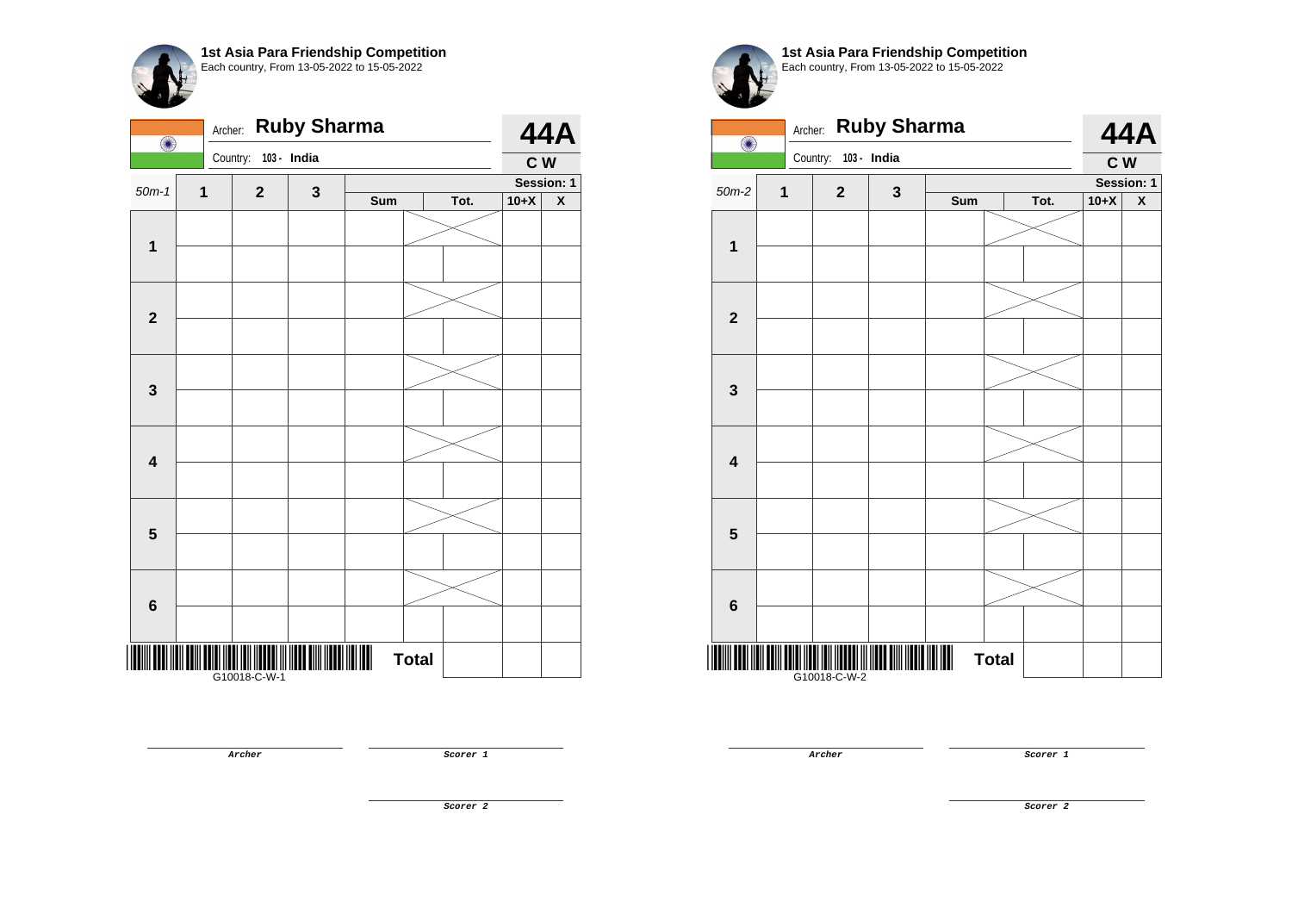| $\bigcirc$              | Archer: | <b>Ruby Sharma</b> |             |     | <b>44A</b>   |      |        |                         |
|-------------------------|---------|--------------------|-------------|-----|--------------|------|--------|-------------------------|
|                         |         | Country:           | 103 - India |     |              |      | C W    |                         |
| $50m-1$                 | 1       | $\mathbf 2$        | 3           |     |              |      |        | Session: 1              |
|                         |         |                    |             | Sum |              | Tot. | $10+X$ | $\overline{\textbf{X}}$ |
|                         |         |                    |             |     |              |      |        |                         |
| $\mathbf{1}$            |         |                    |             |     |              |      |        |                         |
|                         |         |                    |             |     |              |      |        |                         |
|                         |         |                    |             |     |              |      |        |                         |
| $\overline{\mathbf{2}}$ |         |                    |             |     |              |      |        |                         |
|                         |         |                    |             |     |              |      |        |                         |
|                         |         |                    |             |     |              |      |        |                         |
| 3                       |         |                    |             |     |              |      |        |                         |
|                         |         |                    |             |     |              |      |        |                         |
|                         |         |                    |             |     |              |      |        |                         |
| $\overline{\mathbf{4}}$ |         |                    |             |     |              |      |        |                         |
|                         |         |                    |             |     |              |      |        |                         |
|                         |         |                    |             |     |              |      |        |                         |
| $\overline{\mathbf{5}}$ |         |                    |             |     |              |      |        |                         |
|                         |         |                    |             |     |              |      |        |                         |
|                         |         |                    |             |     |              |      |        |                         |
| $\bf 6$                 |         |                    |             |     |              |      |        |                         |
|                         |         |                    |             |     |              |      |        |                         |
|                         |         |                    |             |     |              |      |        |                         |
|                         |         | G10018-C-W-1       |             |     | <b>Total</b> |      |        |                         |
|                         |         |                    |             |     |              |      |        |                         |

**Archer Scorer 1** 

**1st Asia Para Friendship Competition** Each country, From 13-05-2022 to 15-05-2022



**Archer Scorer 1**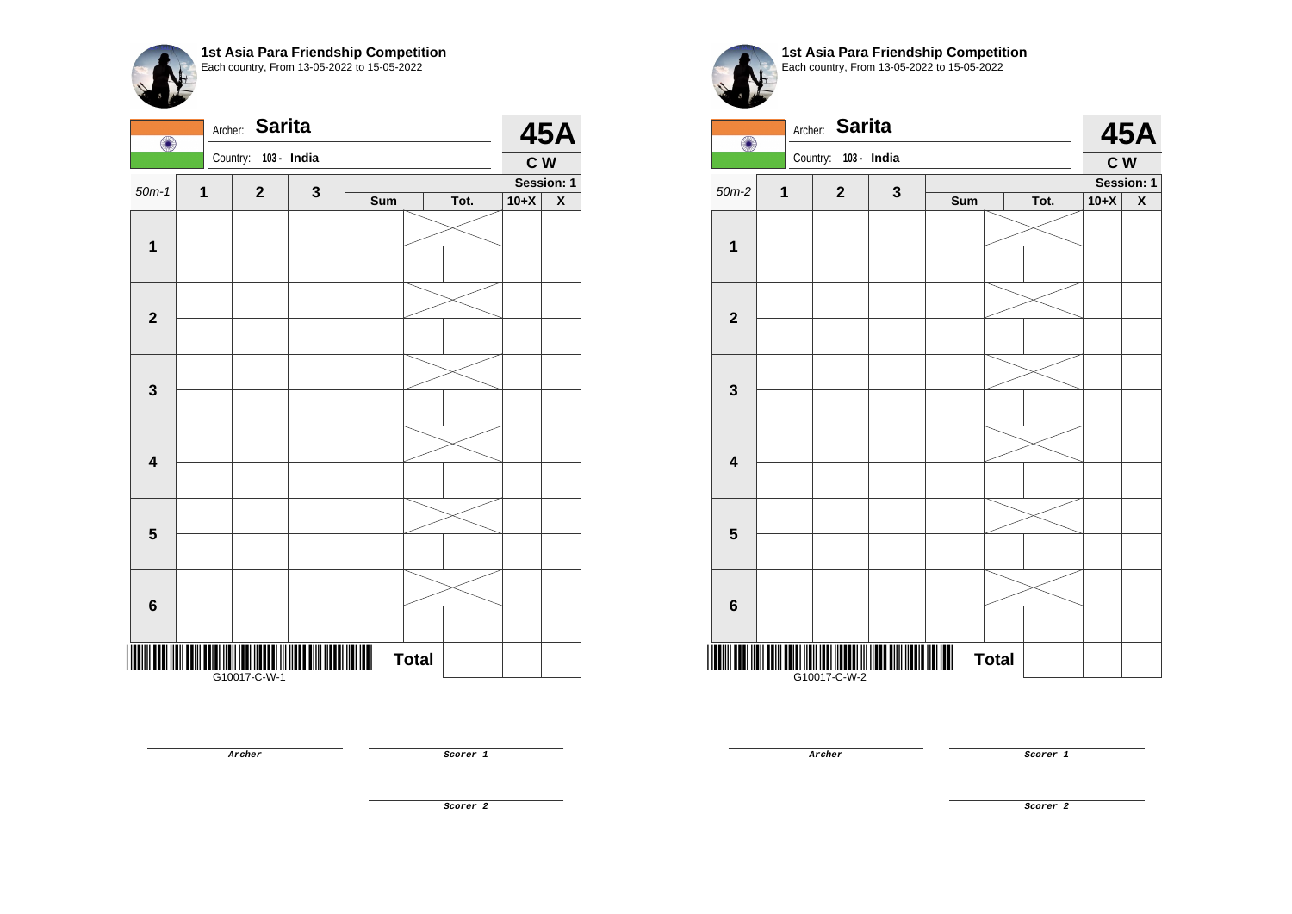

| $\bigcirc$              |              | <b>Sarita</b><br>Archer: |   |                                       |              |      |        | <b>45A</b>              |
|-------------------------|--------------|--------------------------|---|---------------------------------------|--------------|------|--------|-------------------------|
|                         |              | Country:<br>103 - India  |   |                                       |              |      | C W    |                         |
| $50m-1$                 | $\mathbf{1}$ | $\mathbf{2}$             | 3 |                                       |              |      |        | Session: 1              |
|                         |              |                          |   | Sum                                   |              | Tot. | $10+X$ | $\overline{\textbf{X}}$ |
|                         |              |                          |   |                                       |              |      |        |                         |
| $\mathbf{1}$            |              |                          |   |                                       |              |      |        |                         |
|                         |              |                          |   |                                       |              |      |        |                         |
|                         |              |                          |   |                                       |              |      |        |                         |
| $\mathbf{2}$            |              |                          |   |                                       |              |      |        |                         |
|                         |              |                          |   |                                       |              |      |        |                         |
|                         |              |                          |   |                                       |              |      |        |                         |
| $\mathbf 3$             |              |                          |   |                                       |              |      |        |                         |
|                         |              |                          |   |                                       |              |      |        |                         |
|                         |              |                          |   |                                       |              |      |        |                         |
| $\overline{\mathbf{4}}$ |              |                          |   |                                       |              |      |        |                         |
|                         |              |                          |   |                                       |              |      |        |                         |
|                         |              |                          |   |                                       |              |      |        |                         |
| $\overline{\mathbf{5}}$ |              |                          |   |                                       |              |      |        |                         |
|                         |              |                          |   |                                       |              |      |        |                         |
|                         |              |                          |   |                                       |              |      |        |                         |
|                         |              |                          |   |                                       |              |      |        |                         |
| $\bf 6$                 |              |                          |   |                                       |              |      |        |                         |
|                         |              |                          |   |                                       |              |      |        |                         |
|                         |              |                          |   | $\begin{array}{c} \hline \end{array}$ | <b>Total</b> |      |        |                         |
|                         |              | G10017-C-W-1             |   |                                       |              |      |        |                         |



**Archer Scorer 1** 

**Archer Scorer 1** 

**Scorer 2**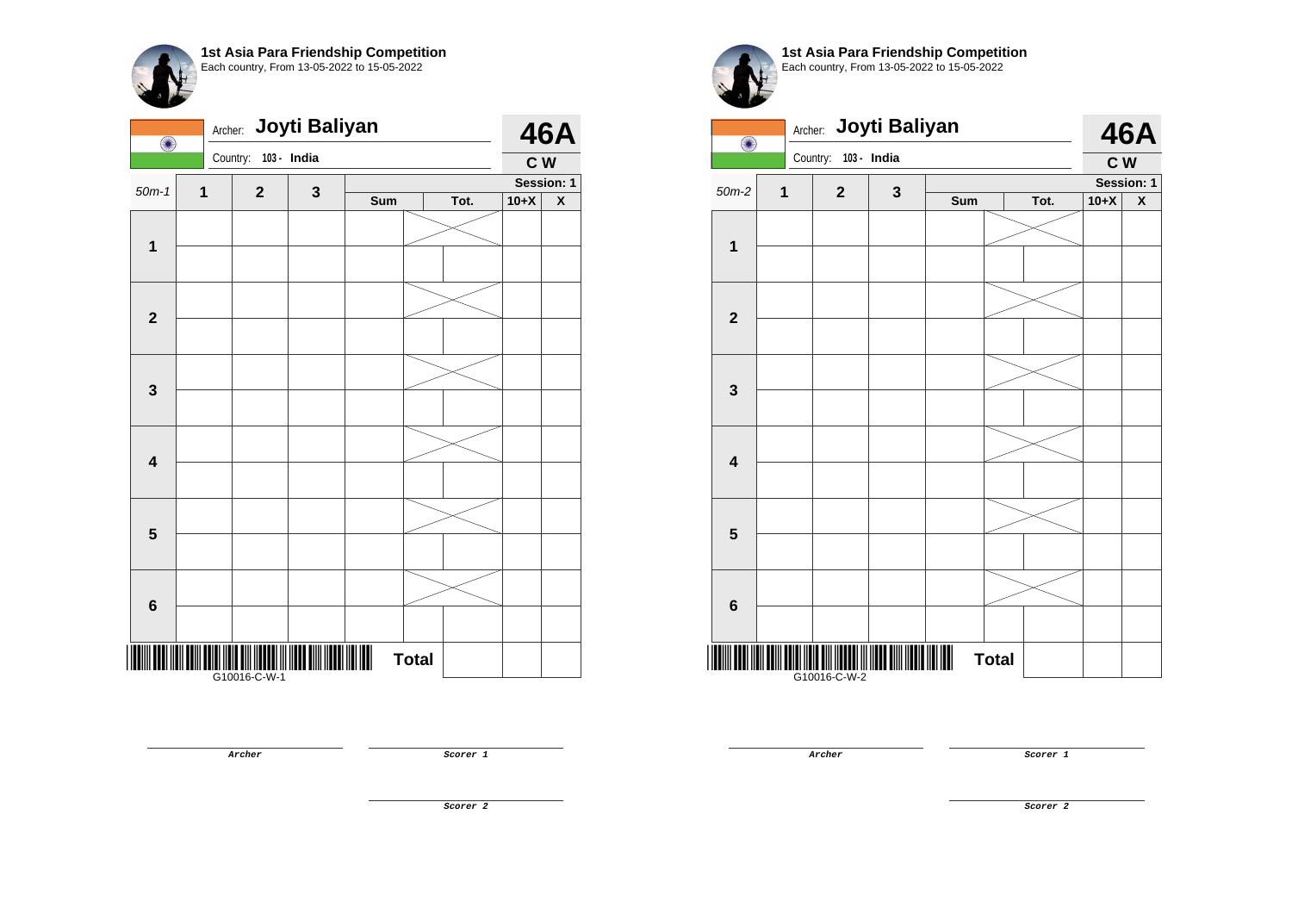|                         | Joyti Baliyan<br>Archer:<br>O |                      |   |     |              |      |        |                         |
|-------------------------|-------------------------------|----------------------|---|-----|--------------|------|--------|-------------------------|
|                         |                               | Country: 103 - India |   |     |              |      | C W    |                         |
| $50m-1$                 | 1                             | $\mathbf{2}$         | 3 |     |              |      |        | Session: 1              |
|                         |                               |                      |   | Sum |              | Tot. | $10+X$ | $\overline{\textbf{X}}$ |
|                         |                               |                      |   |     |              |      |        |                         |
| $\mathbf{1}$            |                               |                      |   |     |              |      |        |                         |
|                         |                               |                      |   |     |              |      |        |                         |
|                         |                               |                      |   |     |              |      |        |                         |
| $\overline{\mathbf{2}}$ |                               |                      |   |     |              |      |        |                         |
|                         |                               |                      |   |     |              |      |        |                         |
|                         |                               |                      |   |     |              |      |        |                         |
| 3                       |                               |                      |   |     |              |      |        |                         |
|                         |                               |                      |   |     |              |      |        |                         |
|                         |                               |                      |   |     |              |      |        |                         |
| $\overline{\mathbf{4}}$ |                               |                      |   |     |              |      |        |                         |
|                         |                               |                      |   |     |              |      |        |                         |
|                         |                               |                      |   |     |              |      |        |                         |
| $\overline{\mathbf{5}}$ |                               |                      |   |     |              |      |        |                         |
|                         |                               |                      |   |     |              |      |        |                         |
|                         |                               |                      |   |     |              |      |        |                         |
| $\bf 6$                 |                               |                      |   |     |              |      |        |                         |
|                         |                               |                      |   |     |              |      |        |                         |
|                         |                               |                      |   |     |              |      |        |                         |
|                         |                               | <br> G10016-C-W-1    |   |     | <b>Total</b> |      |        |                         |
|                         |                               |                      |   |     |              |      |        |                         |

**1st Asia Para Friendship Competition** Each country, From 13-05-2022 to 15-05-2022



**Archer Scorer 1** 

**Archer Scorer 1** 

**Scorer 2**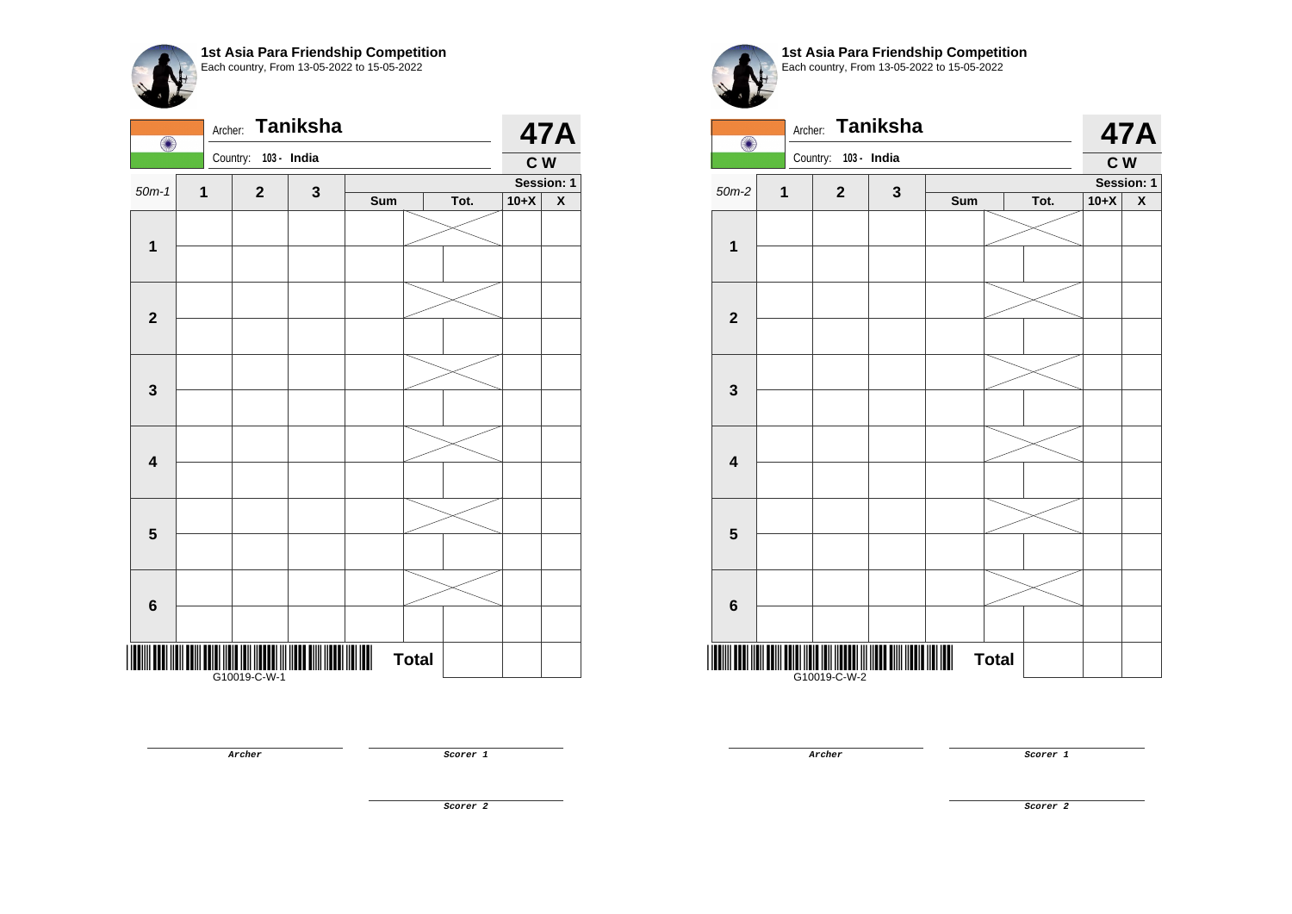| $\bigcirc$              | Archer:     |                   | <b>Taniksha</b> |     |              |      |        | <b>47A</b>              |
|-------------------------|-------------|-------------------|-----------------|-----|--------------|------|--------|-------------------------|
|                         |             | Country:          | 103 - India     |     |              |      | C W    |                         |
| $50m-1$                 | $\mathbf 1$ | $\mathbf{2}$      | 3               |     |              |      |        | Session: 1              |
|                         |             |                   |                 | Sum |              | Tot. | $10+X$ | $\overline{\textbf{X}}$ |
|                         |             |                   |                 |     |              |      |        |                         |
| $\overline{\mathbf{1}}$ |             |                   |                 |     |              |      |        |                         |
| $\mathbf{2}$            |             |                   |                 |     |              |      |        |                         |
|                         |             |                   |                 |     |              |      |        |                         |
|                         |             |                   |                 |     |              |      |        |                         |
| $\mathbf{3}$            |             |                   |                 |     |              |      |        |                         |
| $\overline{\mathbf{4}}$ |             |                   |                 |     |              |      |        |                         |
|                         |             |                   |                 |     |              |      |        |                         |
| $\overline{\mathbf{5}}$ |             |                   |                 |     |              |      |        |                         |
|                         |             |                   |                 |     |              |      |        |                         |
| $6\phantom{1}6$         |             |                   |                 |     |              |      |        |                         |
|                         |             |                   |                 |     |              |      |        |                         |
|                         |             | <br> G10019-C-W-1 |                 |     | <b>Total</b> |      |        |                         |

**Archer Scorer 1** 

**1st Asia Para Friendship Competition** Each country, From 13-05-2022 to 15-05-2022

| O                       | Archer:                 |                      | <b>Taniksha</b> |     |              |      |        | <b>47A</b>         |
|-------------------------|-------------------------|----------------------|-----------------|-----|--------------|------|--------|--------------------|
|                         |                         | Country: 103 - India |                 |     |              |      | C W    |                    |
| $50m-2$                 | $\overline{\mathbf{1}}$ | $\mathbf{2}$         | $\mathbf{3}$    |     |              |      |        | Session: 1         |
|                         |                         |                      |                 | Sum |              | Tot. | $10+X$ | $\pmb{\mathsf{X}}$ |
|                         |                         |                      |                 |     |              |      |        |                    |
| $\mathbf 1$             |                         |                      |                 |     |              |      |        |                    |
|                         |                         |                      |                 |     |              |      |        |                    |
| $\mathbf{2}$            |                         |                      |                 |     |              |      |        |                    |
|                         |                         |                      |                 |     |              |      |        |                    |
| $\mathbf{3}$            |                         |                      |                 |     |              |      |        |                    |
|                         |                         |                      |                 |     |              |      |        |                    |
| $\overline{\mathbf{4}}$ |                         |                      |                 |     |              |      |        |                    |
|                         |                         |                      |                 |     |              |      |        |                    |
| 5                       |                         |                      |                 |     |              |      |        |                    |
|                         |                         |                      |                 |     |              |      |        |                    |
| $6\phantom{1}$          |                         |                      |                 |     |              |      |        |                    |
|                         |                         |                      |                 |     |              |      |        |                    |
|                         |                         | G10019-C-W-2         |                 |     | <b>Total</b> |      |        |                    |

**Archer Scorer 1**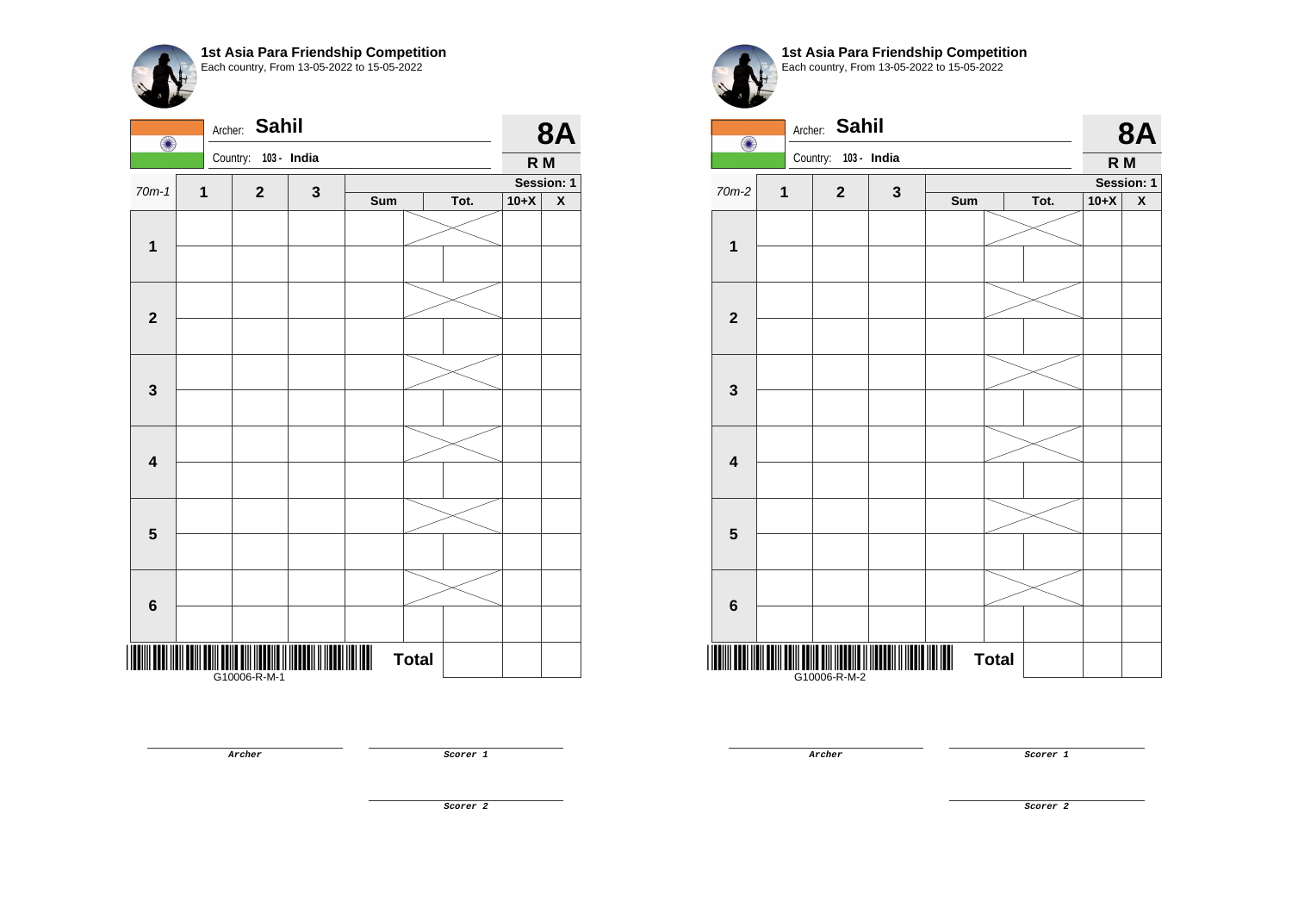

| $\bigcirc$<br>Country:<br>103 - India                                      | R M<br>Session: 1  |
|----------------------------------------------------------------------------|--------------------|
|                                                                            |                    |
| $70m-1$<br>$\mathbf{1}$<br>$\mathbf{3}$<br>$\mathbf{2}$                    |                    |
| Sum<br>Tot.<br>$10+X$                                                      | $\pmb{\mathsf{X}}$ |
|                                                                            |                    |
| $\mathbf{1}$                                                               |                    |
|                                                                            |                    |
| $\mathbf 2$                                                                |                    |
|                                                                            |                    |
| $\mathbf 3$                                                                |                    |
|                                                                            |                    |
| $\overline{\mathbf{4}}$                                                    |                    |
|                                                                            |                    |
|                                                                            |                    |
| $\overline{\mathbf{5}}$                                                    |                    |
|                                                                            |                    |
| $\bf 6$                                                                    |                    |
|                                                                            |                    |
| <b>Total</b><br>                                  <br> -<br>  G10006-R-M-1 |                    |

**Archer Scorer 1** 



**1st Asia Para Friendship Competition** Each country, From 13-05-2022 to 15-05-2022

| $\bigcirc$              | Archer:     | <b>Sahil</b>         |             |     |              |      |        | <b>8A</b>          |
|-------------------------|-------------|----------------------|-------------|-----|--------------|------|--------|--------------------|
|                         |             | Country: 103 - India |             |     |              |      | R M    |                    |
| 70m-2                   | $\mathbf 1$ | $\mathbf{2}$         | $\mathbf 3$ |     |              |      |        | Session: 1         |
|                         |             |                      |             | Sum |              | Tot. | $10+X$ | $\pmb{\mathsf{X}}$ |
| $\mathbf 1$             |             |                      |             |     |              |      |        |                    |
|                         |             |                      |             |     |              |      |        |                    |
|                         |             |                      |             |     |              |      |        |                    |
| $\overline{\mathbf{2}}$ |             |                      |             |     |              |      |        |                    |
|                         |             |                      |             |     |              |      |        |                    |
| $\mathbf{3}$            |             |                      |             |     |              |      |        |                    |
|                         |             |                      |             |     |              |      |        |                    |
| $\overline{\mathbf{4}}$ |             |                      |             |     |              |      |        |                    |
|                         |             |                      |             |     |              |      |        |                    |
| $5\phantom{1}$          |             |                      |             |     |              |      |        |                    |
|                         |             |                      |             |     |              |      |        |                    |
| $6\phantom{1}$          |             |                      |             |     |              |      |        |                    |
|                         |             | G10006-R-M-2         |             |     | <b>Total</b> |      |        |                    |

**Archer Scorer 1** 

**Scorer 2**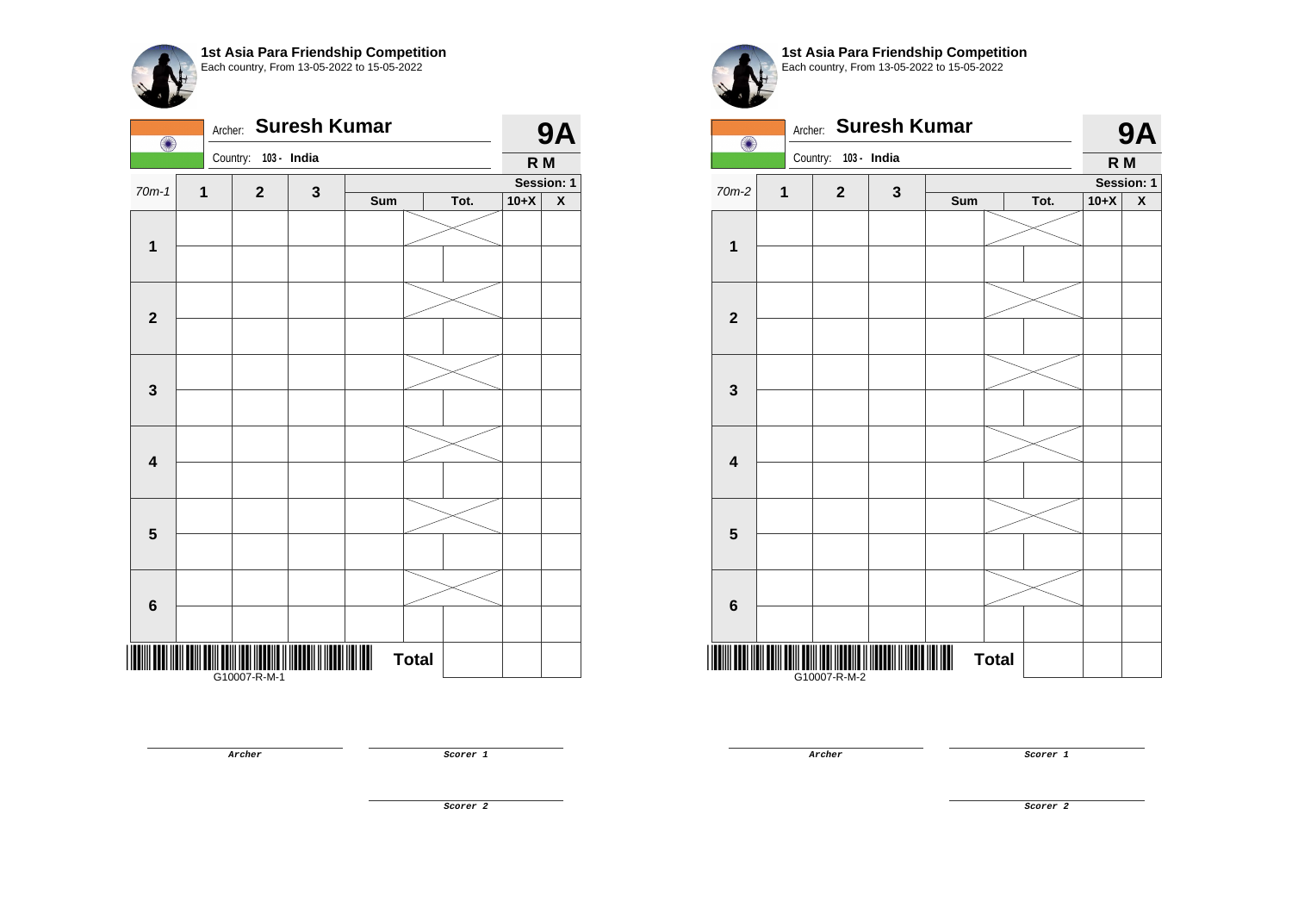| O                       | Archer: |                   | <b>Suresh Kumar</b> |     |              |      |        | <b>9A</b>               |
|-------------------------|---------|-------------------|---------------------|-----|--------------|------|--------|-------------------------|
|                         |         | Country:          | 103 - India         |     |              |      | R M    |                         |
| $70m-1$                 | 1       | $\mathbf{2}$      | $\mathbf{3}$        |     |              |      |        | Session: 1              |
|                         |         |                   |                     | Sum |              | Tot. | $10+X$ | $\overline{\textbf{X}}$ |
| $\mathbf 1$             |         |                   |                     |     |              |      |        |                         |
|                         |         |                   |                     |     |              |      |        |                         |
| $\mathbf{2}$            |         |                   |                     |     |              |      |        |                         |
|                         |         |                   |                     |     |              |      |        |                         |
| $\mathbf{3}$            |         |                   |                     |     |              |      |        |                         |
|                         |         |                   |                     |     |              |      |        |                         |
| 4                       |         |                   |                     |     |              |      |        |                         |
|                         |         |                   |                     |     |              |      |        |                         |
| $\overline{\mathbf{5}}$ |         |                   |                     |     |              |      |        |                         |
|                         |         |                   |                     |     |              |      |        |                         |
|                         |         |                   |                     |     |              |      |        |                         |
| 6                       |         |                   |                     |     |              |      |        |                         |
|                         |         | <br> G10007-R-M-1 |                     |     | <b>Total</b> |      |        |                         |

**1st Asia Para Friendship Competition** Each country, From 13-05-2022 to 15-05-2022

| $\bigcirc$              |                | Archer: Suresh Kumar |              |     |              |      |        | <b>9A</b>          |
|-------------------------|----------------|----------------------|--------------|-----|--------------|------|--------|--------------------|
|                         |                | Country: 103 - India |              |     |              |      | R M    |                    |
| 70m-2                   | $\overline{1}$ | $\mathbf{2}$         | $\mathbf{3}$ |     |              |      |        | Session: 1         |
|                         |                |                      |              | Sum |              | Tot. | $10+X$ | $\pmb{\mathsf{X}}$ |
|                         |                |                      |              |     |              |      |        |                    |
| 1                       |                |                      |              |     |              |      |        |                    |
|                         |                |                      |              |     |              |      |        |                    |
| $\overline{\mathbf{2}}$ |                |                      |              |     |              |      |        |                    |
|                         |                |                      |              |     |              |      |        |                    |
| $\mathbf{3}$            |                |                      |              |     |              |      |        |                    |
|                         |                |                      |              |     |              |      |        |                    |
| $\overline{\mathbf{4}}$ |                |                      |              |     |              |      |        |                    |
|                         |                |                      |              |     |              |      |        |                    |
| 5                       |                |                      |              |     |              |      |        |                    |
|                         |                |                      |              |     |              |      |        |                    |
| $6\phantom{1}6$         |                |                      |              |     |              |      |        |                    |
|                         |                | G10007-R-M-2         |              |     | <b>Total</b> |      |        |                    |

**Archer Scorer 1** 

**Archer Scorer 1** 

**Scorer 2**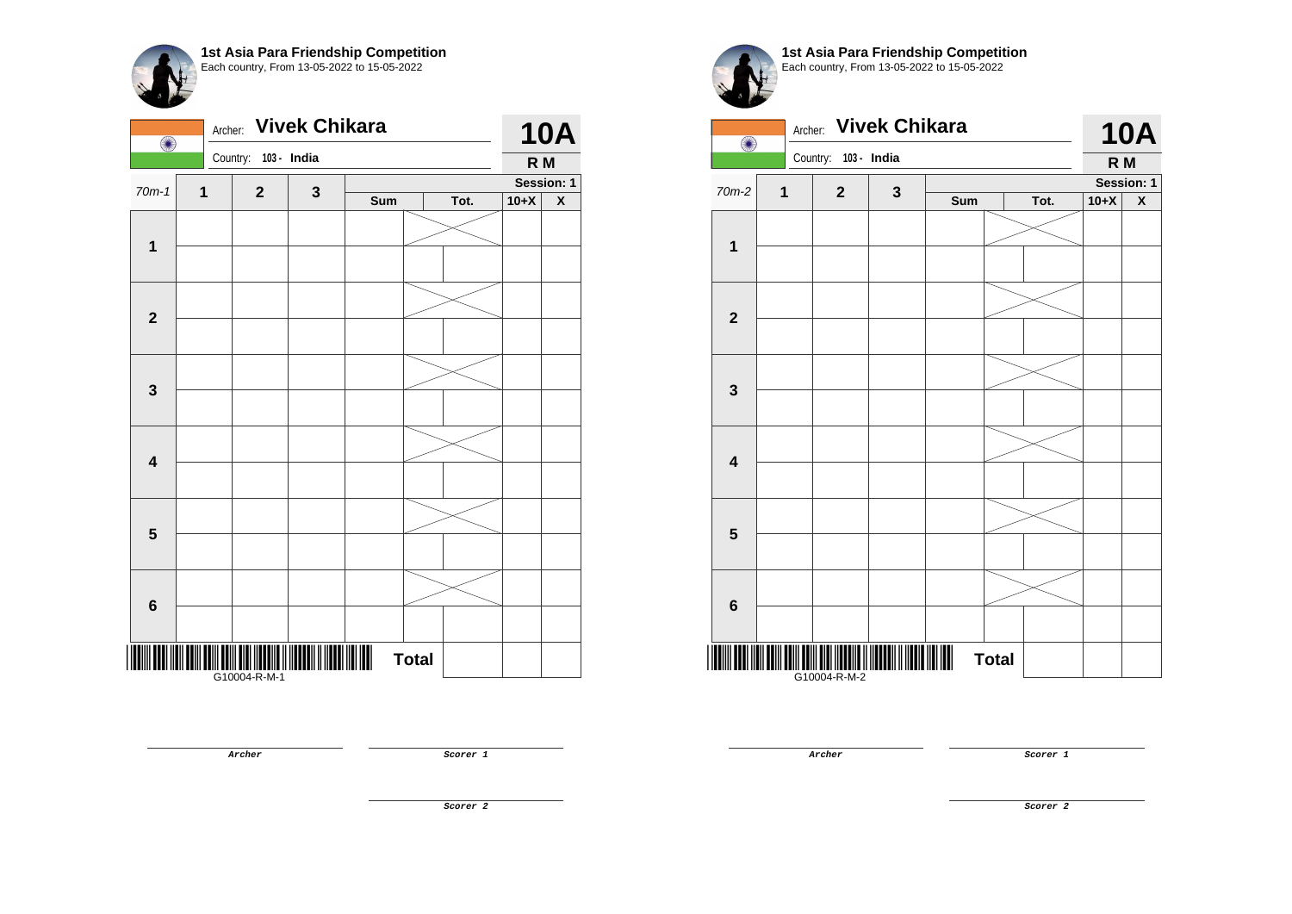| O                       | Archer: |              | <b>Vivek Chikara</b> |     |              |      |        | <b>10A</b>              |
|-------------------------|---------|--------------|----------------------|-----|--------------|------|--------|-------------------------|
|                         |         | Country:     | 103 - India          |     |              |      | R M    |                         |
| $70m-1$                 | 1       | $\mathbf{2}$ | $\mathbf{3}$         |     |              |      |        | Session: 1              |
|                         |         |              |                      | Sum |              | Tot. | $10+X$ | $\overline{\mathbf{X}}$ |
|                         |         |              |                      |     |              |      |        |                         |
| $\mathbf 1$             |         |              |                      |     |              |      |        |                         |
|                         |         |              |                      |     |              |      |        |                         |
| $\mathbf{2}$            |         |              |                      |     |              |      |        |                         |
|                         |         |              |                      |     |              |      |        |                         |
| $\mathbf 3$             |         |              |                      |     |              |      |        |                         |
|                         |         |              |                      |     |              |      |        |                         |
| $\overline{\mathbf{4}}$ |         |              |                      |     |              |      |        |                         |
|                         |         |              |                      |     |              |      |        |                         |
| $\overline{\mathbf{5}}$ |         |              |                      |     |              |      |        |                         |
|                         |         |              |                      |     |              |      |        |                         |
| $\bf 6$                 |         |              |                      |     |              |      |        |                         |
|                         |         | G10004-R-M-1 |                      |     | <b>Total</b> |      |        |                         |

**Archer Scorer 1** 



**1st Asia Para Friendship Competition** Each country, From 13-05-2022 to 15-05-2022

| O                       | Archer:     |              | <b>Vivek Chikara</b> |     |              |      |        | <b>10A</b>         |
|-------------------------|-------------|--------------|----------------------|-----|--------------|------|--------|--------------------|
|                         |             | Country:     | 103 - India          |     |              |      | R M    |                    |
| 70m-2                   | $\mathbf 1$ | $\mathbf 2$  | $\mathbf{3}$         |     |              |      |        | Session: 1         |
|                         |             |              |                      | Sum |              | Tot. | $10+X$ | $\pmb{\mathsf{X}}$ |
| 1                       |             |              |                      |     |              |      |        |                    |
|                         |             |              |                      |     |              |      |        |                    |
|                         |             |              |                      |     |              |      |        |                    |
| $\mathbf{2}$            |             |              |                      |     |              |      |        |                    |
|                         |             |              |                      |     |              |      |        |                    |
| $\mathbf{3}$            |             |              |                      |     |              |      |        |                    |
|                         |             |              |                      |     |              |      |        |                    |
| $\overline{\mathbf{4}}$ |             |              |                      |     |              |      |        |                    |
|                         |             |              |                      |     |              |      |        |                    |
| $5\phantom{1}$          |             |              |                      |     |              |      |        |                    |
|                         |             |              |                      |     |              |      |        |                    |
| $6\phantom{1}$          |             |              |                      |     |              |      |        |                    |
|                         |             |              |                      |     |              |      |        |                    |
|                         |             | 010004-R-M-2 |                      |     | <b>Total</b> |      |        |                    |

**Archer Scorer 1**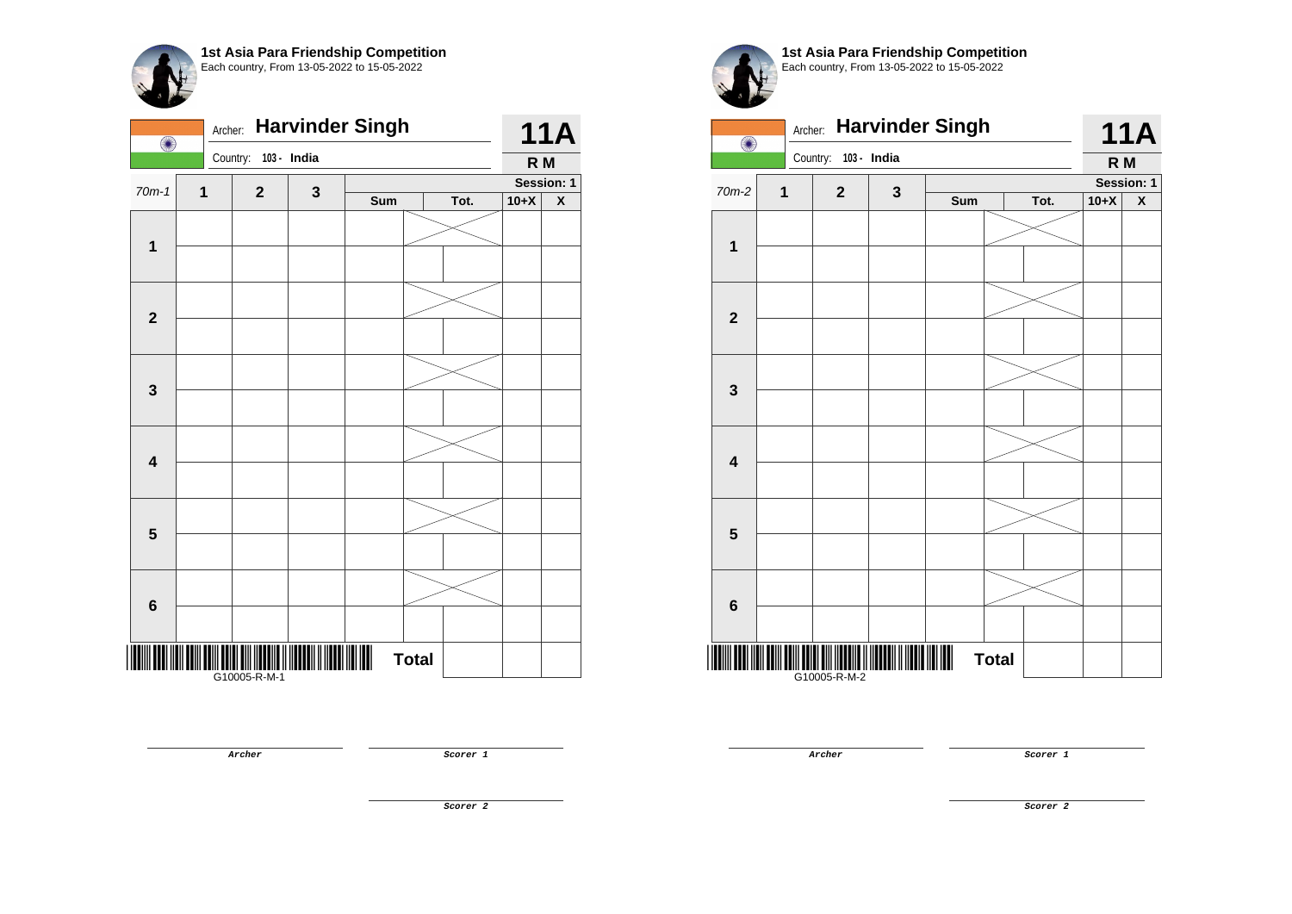|                         | <b>Harvinder Singh</b><br>Archer:<br>O |              |             |                |              |      |        |                         |
|-------------------------|----------------------------------------|--------------|-------------|----------------|--------------|------|--------|-------------------------|
|                         |                                        | Country:     | 103 - India |                |              |      | R M    |                         |
| $70m-1$                 | 1                                      | $\mathbf{2}$ | 3           |                |              |      |        | Session: 1              |
|                         |                                        |              |             | Sum            |              | Tot. | $10+X$ | $\overline{\textbf{X}}$ |
| $\mathbf 1$             |                                        |              |             |                |              |      |        |                         |
|                         |                                        |              |             |                |              |      |        |                         |
|                         |                                        |              |             |                |              |      |        |                         |
| $\mathbf{2}$            |                                        |              |             |                |              |      |        |                         |
|                         |                                        |              |             |                |              |      |        |                         |
| $\mathbf{3}$            |                                        |              |             |                |              |      |        |                         |
|                         |                                        |              |             |                |              |      |        |                         |
| $\overline{\mathbf{4}}$ |                                        |              |             |                |              |      |        |                         |
|                         |                                        |              |             |                |              |      |        |                         |
| 5                       |                                        |              |             |                |              |      |        |                         |
|                         |                                        |              |             |                |              |      |        |                         |
| $6\phantom{1}6$         |                                        |              |             |                |              |      |        |                         |
|                         |                                        |              |             |                |              |      |        |                         |
|                         |                                        |              |             | $\blacksquare$ | <b>Total</b> |      |        |                         |

**1st Asia Para Friendship Competition** Each country, From 13-05-2022 to 15-05-2022

| $\bigcirc$              | Archer: |              |              | <b>Harvinder Singh</b> |              |      |                | <b>11A</b>         |
|-------------------------|---------|--------------|--------------|------------------------|--------------|------|----------------|--------------------|
|                         |         | Country:     | 103 - India  |                        |              |      | R <sub>M</sub> |                    |
| 70m-2                   | 1       | $\mathbf{2}$ | $\mathbf{3}$ |                        |              |      |                | Session: 1         |
|                         |         |              |              | Sum                    |              | Tot. | $10+X$         | $\pmb{\mathsf{X}}$ |
|                         |         |              |              |                        |              |      |                |                    |
| 1                       |         |              |              |                        |              |      |                |                    |
|                         |         |              |              |                        |              |      |                |                    |
| $\mathbf 2$             |         |              |              |                        |              |      |                |                    |
|                         |         |              |              |                        |              |      |                |                    |
| $\mathbf{3}$            |         |              |              |                        |              |      |                |                    |
| $\overline{\mathbf{4}}$ |         |              |              |                        |              |      |                |                    |
|                         |         |              |              |                        |              |      |                |                    |
| 5                       |         |              |              |                        |              |      |                |                    |
|                         |         |              |              |                        |              |      |                |                    |
| $\bf 6$                 |         |              |              |                        |              |      |                |                    |
|                         |         |              |              |                        |              |      |                |                    |
| ║                       |         | G10005-R-M-2 |              |                        | <b>Total</b> |      |                |                    |

**Archer Scorer 1** 

**Archer Scorer 1** 

**Scorer 2**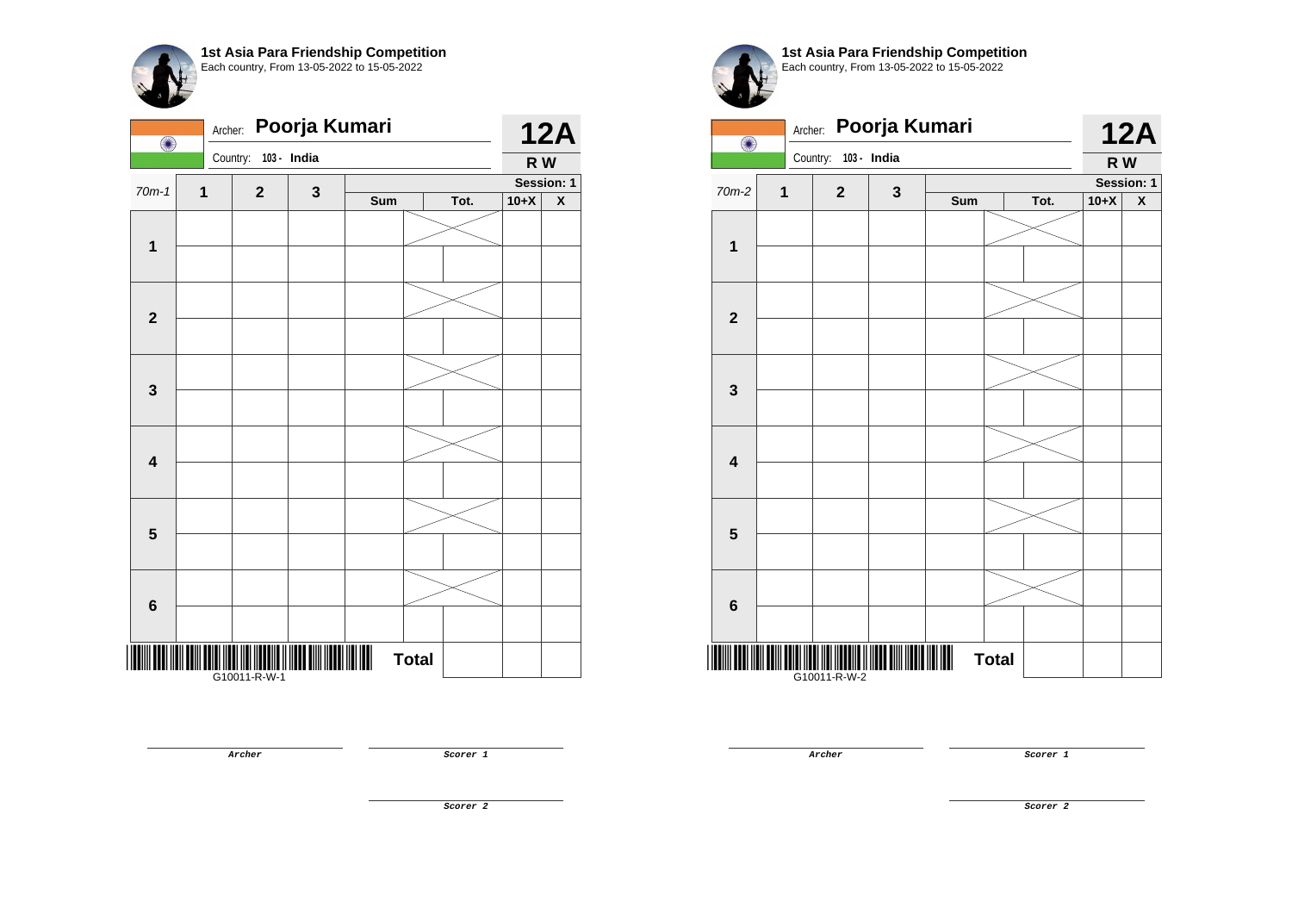| 103 - India<br>Country:<br>R W<br>Session: 1<br>$70m-1$<br>1<br>$\mathbf{2}$<br>$\mathbf 3$<br>Sum<br>Tot.<br>$10+X$ |                         | <b>12A</b> |  |  | Poorja Kumari | Archer: | O            |
|----------------------------------------------------------------------------------------------------------------------|-------------------------|------------|--|--|---------------|---------|--------------|
|                                                                                                                      |                         |            |  |  |               |         |              |
|                                                                                                                      |                         |            |  |  |               |         |              |
|                                                                                                                      | $\overline{\textbf{X}}$ |            |  |  |               |         |              |
|                                                                                                                      |                         |            |  |  |               |         | $\mathbf{1}$ |
|                                                                                                                      |                         |            |  |  |               |         |              |
| $\mathbf 2$                                                                                                          |                         |            |  |  |               |         |              |
|                                                                                                                      |                         |            |  |  |               |         |              |
|                                                                                                                      |                         |            |  |  |               |         |              |
| $\mathbf 3$                                                                                                          |                         |            |  |  |               |         |              |
|                                                                                                                      |                         |            |  |  |               |         |              |
| $\overline{\mathbf{4}}$                                                                                              |                         |            |  |  |               |         |              |
|                                                                                                                      |                         |            |  |  |               |         |              |
| $\overline{\mathbf{5}}$                                                                                              |                         |            |  |  |               |         |              |
|                                                                                                                      |                         |            |  |  |               |         |              |
| $\bf 6$                                                                                                              |                         |            |  |  |               |         |              |
| <b>Total</b><br>G10011-R-W-1                                                                                         |                         |            |  |  |               |         |              |

**Archer Scorer 1** 

**1st Asia Para Friendship Competition** Each country, From 13-05-2022 to 15-05-2022

|                         | Poorja Kumari<br>Archer:<br>$\bigcirc$ |                      |              |     |              |      |        |                    |
|-------------------------|----------------------------------------|----------------------|--------------|-----|--------------|------|--------|--------------------|
|                         |                                        | Country: 103 - India |              |     |              |      | R W    | <b>12A</b>         |
| 70m-2                   | $\mathbf 1$                            | $\mathbf 2$          | $\mathbf{3}$ |     |              |      |        | Session: 1         |
|                         |                                        |                      |              | Sum |              | Tot. | $10+X$ | $\pmb{\mathsf{X}}$ |
| $\mathbf{1}$            |                                        |                      |              |     |              |      |        |                    |
|                         |                                        |                      |              |     |              |      |        |                    |
|                         |                                        |                      |              |     |              |      |        |                    |
| $\mathbf{2}$            |                                        |                      |              |     |              |      |        |                    |
|                         |                                        |                      |              |     |              |      |        |                    |
| $\mathbf{3}$            |                                        |                      |              |     |              |      |        |                    |
|                         |                                        |                      |              |     |              |      |        |                    |
| $\overline{\mathbf{4}}$ |                                        |                      |              |     |              |      |        |                    |
|                         |                                        |                      |              |     |              |      |        |                    |
| $5\phantom{1}$          |                                        |                      |              |     |              |      |        |                    |
|                         |                                        |                      |              |     |              |      |        |                    |
| $6\phantom{1}$          |                                        |                      |              |     |              |      |        |                    |
|                         |                                        |                      |              |     |              |      |        |                    |
|                         |                                        | G10011-R-W-2         |              |     | <b>Total</b> |      |        |                    |

**Archer Scorer 1**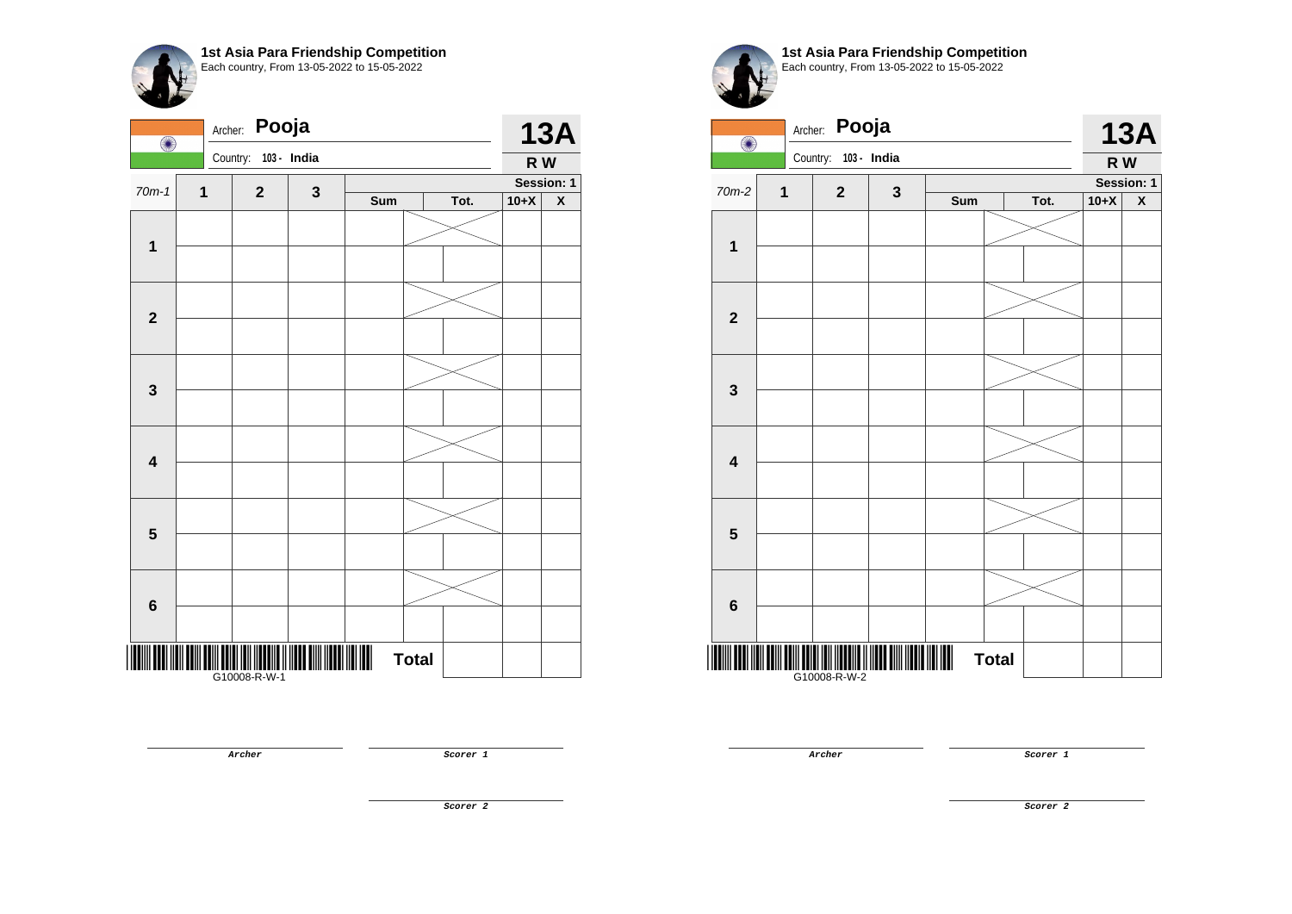| O                       | Archer: | Pooja                                                                                              |             |     |              |      |        | <b>13A</b> |
|-------------------------|---------|----------------------------------------------------------------------------------------------------|-------------|-----|--------------|------|--------|------------|
|                         |         | Country:<br>103 - India                                                                            |             |     |              |      | R W    |            |
| $70m-1$                 | 1       | $\mathbf 2$                                                                                        | $\mathbf 3$ |     |              |      |        | Session: 1 |
|                         |         |                                                                                                    |             | Sum |              | Tot. | $10+X$ | X          |
| $\mathbf{1}$            |         |                                                                                                    |             |     |              |      |        |            |
|                         |         |                                                                                                    |             |     |              |      |        |            |
| $\boldsymbol{2}$        |         |                                                                                                    |             |     |              |      |        |            |
|                         |         |                                                                                                    |             |     |              |      |        |            |
|                         |         |                                                                                                    |             |     |              |      |        |            |
| 3                       |         |                                                                                                    |             |     |              |      |        |            |
|                         |         |                                                                                                    |             |     |              |      |        |            |
| $\overline{\mathbf{4}}$ |         |                                                                                                    |             |     |              |      |        |            |
|                         |         |                                                                                                    |             |     |              |      |        |            |
| $\overline{\mathbf{5}}$ |         |                                                                                                    |             |     |              |      |        |            |
|                         |         |                                                                                                    |             |     |              |      |        |            |
| $\bf 6$                 |         |                                                                                                    |             |     |              |      |        |            |
|                         |         | <u> III III III III III III III III</u><br>                                  <br>     G10008-R-W-1 |             |     | <b>Total</b> |      |        |            |

**Archer Scorer 1** 

**1st Asia Para Friendship Competition** Each country, From 13-05-2022 to 15-05-2022

| O                       | Archer: | Pooja        |             |     |              |      |        | <b>13A</b>         |
|-------------------------|---------|--------------|-------------|-----|--------------|------|--------|--------------------|
|                         |         | Country:     | 103 - India |     |              |      | R W    |                    |
| $70m-2$                 | 1       | $\mathbf 2$  | $\mathbf 3$ |     |              |      |        | Session: 1         |
|                         |         |              |             | Sum |              | Tot. | $10+X$ | $\pmb{\mathsf{X}}$ |
| $\mathbf 1$             |         |              |             |     |              |      |        |                    |
|                         |         |              |             |     |              |      |        |                    |
|                         |         |              |             |     |              |      |        |                    |
| $\mathbf{2}$            |         |              |             |     |              |      |        |                    |
|                         |         |              |             |     |              |      |        |                    |
| $\mathbf{3}$            |         |              |             |     |              |      |        |                    |
|                         |         |              |             |     |              |      |        |                    |
| $\overline{\mathbf{4}}$ |         |              |             |     |              |      |        |                    |
|                         |         |              |             |     |              |      |        |                    |
|                         |         |              |             |     |              |      |        |                    |
| $\overline{\mathbf{5}}$ |         |              |             |     |              |      |        |                    |
|                         |         |              |             |     |              |      |        |                    |
| $\bf 6$                 |         |              |             |     |              |      |        |                    |
|                         |         | G10008-R-W-2 |             |     | <b>Total</b> |      |        |                    |

**Archer Scorer 1** 

**Scorer 2**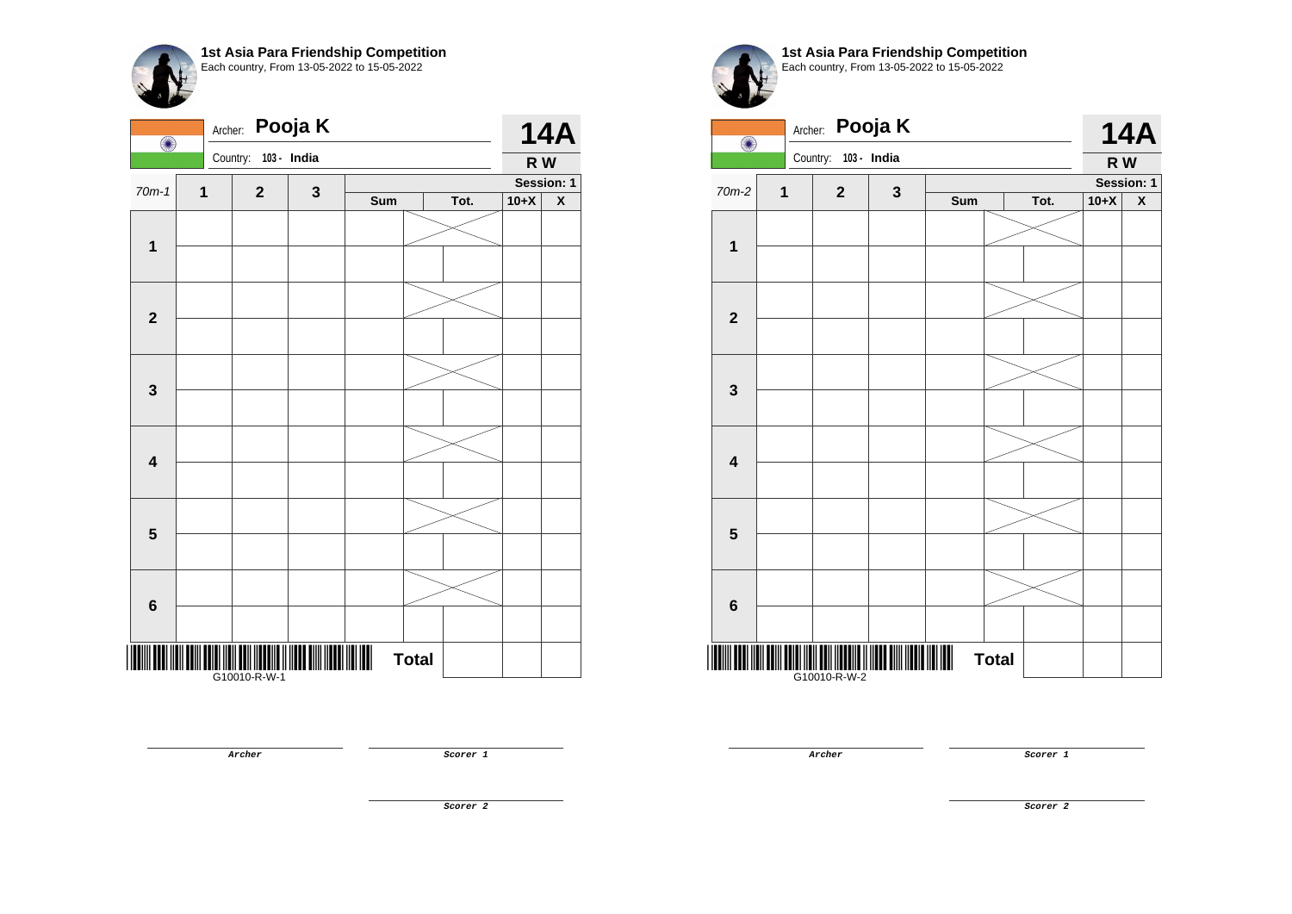| $\bigcirc$              | Archer: |                      | Pooja K      |     |              |      |        | <b>14A</b>         |
|-------------------------|---------|----------------------|--------------|-----|--------------|------|--------|--------------------|
|                         |         | Country: 103 - India |              |     |              |      | R W    |                    |
| $70m-1$                 | 1       | $\mathbf{2}$         | $\mathbf{3}$ |     | Session: 1   |      |        |                    |
|                         |         |                      |              | Sum |              | Tot. | $10+X$ | $\pmb{\mathsf{X}}$ |
| $\mathbf{1}$            |         |                      |              |     |              |      |        |                    |
|                         |         |                      |              |     |              |      |        |                    |
| $\mathbf{2}$            |         |                      |              |     |              |      |        |                    |
|                         |         |                      |              |     |              |      |        |                    |
| $\mathbf 3$             |         |                      |              |     |              |      |        |                    |
|                         |         |                      |              |     |              |      |        |                    |
| $\overline{\mathbf{4}}$ |         |                      |              |     |              |      |        |                    |
|                         |         |                      |              |     |              |      |        |                    |
|                         |         |                      |              |     |              |      |        |                    |
| $\overline{\mathbf{5}}$ |         |                      |              |     |              |      |        |                    |
|                         |         |                      |              |     |              |      |        |                    |
| $\bf 6$                 |         |                      |              |     |              |      |        |                    |
|                         |         |                      |              |     | <b>Total</b> |      |        |                    |
|                         |         | <br> G10010-R-W-1    |              |     |              |      |        |                    |

**1st Asia Para Friendship Competition** Each country, From 13-05-2022 to 15-05-2022

| $\bigcirc$              | Archer:     |              | Pooja K      |     |              |      |        | <b>14A</b>         |
|-------------------------|-------------|--------------|--------------|-----|--------------|------|--------|--------------------|
|                         |             | Country:     | 103 - India  |     |              |      | R W    |                    |
| $70m-2$                 | $\mathbf 1$ | $\mathbf 2$  | $\mathbf{3}$ |     |              |      |        | Session: 1         |
|                         |             |              |              | Sum |              | Tot. | $10+X$ | $\pmb{\mathsf{X}}$ |
| $\mathbf 1$             |             |              |              |     |              |      |        |                    |
|                         |             |              |              |     |              |      |        |                    |
|                         |             |              |              |     |              |      |        |                    |
| $\mathbf{2}$            |             |              |              |     |              |      |        |                    |
|                         |             |              |              |     |              |      |        |                    |
| $\mathbf{3}$            |             |              |              |     |              |      |        |                    |
|                         |             |              |              |     |              |      |        |                    |
| $\overline{\mathbf{4}}$ |             |              |              |     |              |      |        |                    |
|                         |             |              |              |     |              |      |        |                    |
| $\overline{\mathbf{5}}$ |             |              |              |     |              |      |        |                    |
|                         |             |              |              |     |              |      |        |                    |
| $\bf 6$                 |             |              |              |     |              |      |        |                    |
|                         |             | G10010-R-W-2 |              |     | <b>Total</b> |      |        |                    |

**Archer Scorer 1** 

**Archer Scorer 1** 

**Scorer 2**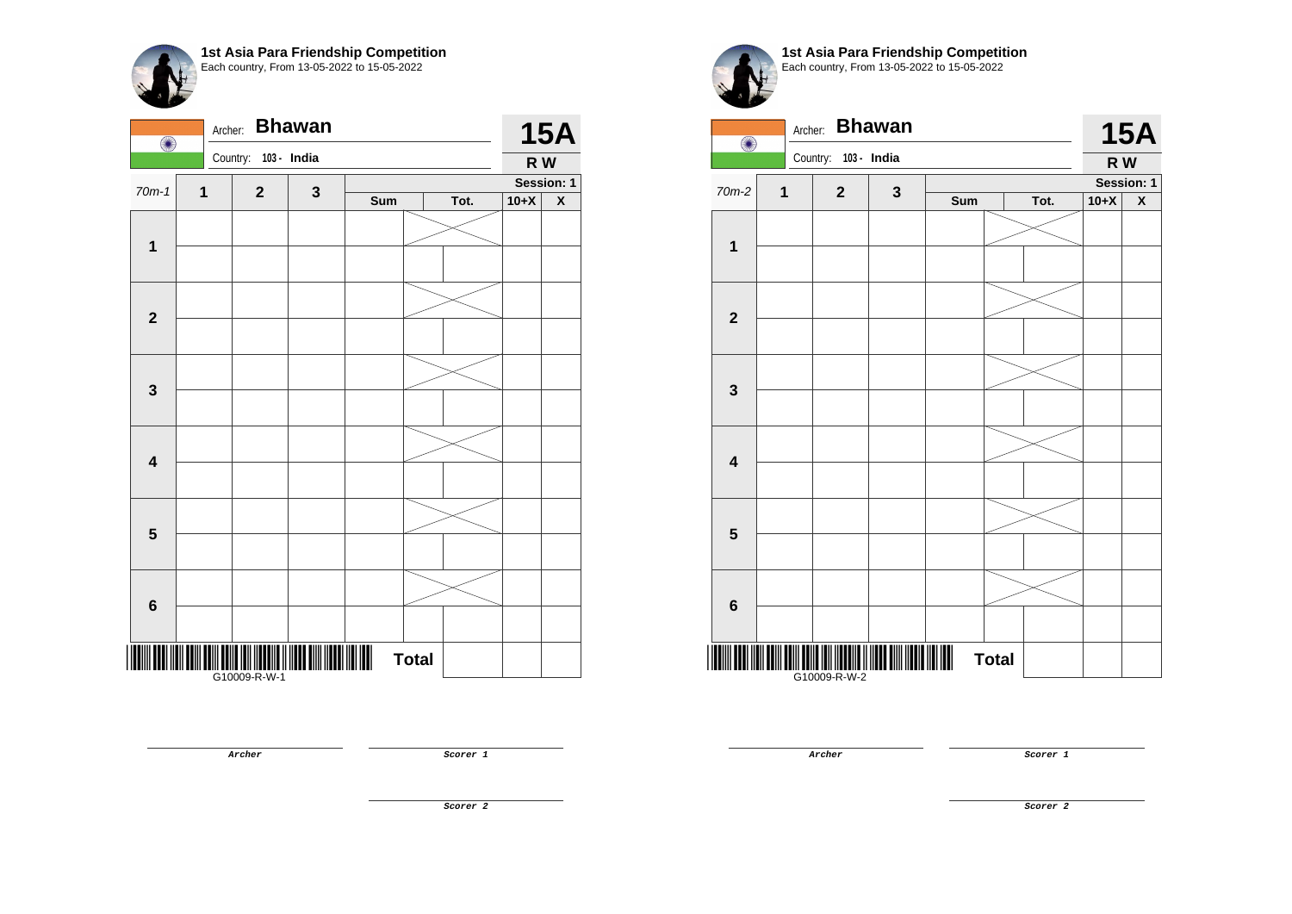| $\bigcirc$              | Archer:     |                   | <b>Bhawan</b> |     |              |      |        | <b>15A</b> |
|-------------------------|-------------|-------------------|---------------|-----|--------------|------|--------|------------|
|                         |             | Country:          | 103 - India   |     |              |      | R W    |            |
| $70m-1$                 | $\mathbf 1$ | $\mathbf{2}$      |               |     |              |      |        | Session: 1 |
|                         |             |                   | $\mathbf{3}$  | Sum |              | Tot. | $10+X$ | X          |
| $\mathbf{1}$            |             |                   |               |     |              |      |        |            |
|                         |             |                   |               |     |              |      |        |            |
| $\mathbf{2}$            |             |                   |               |     |              |      |        |            |
|                         |             |                   |               |     |              |      |        |            |
| $\mathbf{3}$            |             |                   |               |     |              |      |        |            |
|                         |             |                   |               |     |              |      |        |            |
| $\overline{\mathbf{4}}$ |             |                   |               |     |              |      |        |            |
|                         |             |                   |               |     |              |      |        |            |
| 5                       |             |                   |               |     |              |      |        |            |
|                         |             |                   |               |     |              |      |        |            |
|                         |             |                   |               |     |              |      |        |            |
| $6\phantom{1}6$         |             |                   |               |     |              |      |        |            |
|                         |             | <br> G10009-R-W-1 |               | III | <b>Total</b> |      |        |            |

**1st Asia Para Friendship Competition** Each country, From 13-05-2022 to 15-05-2022

Archer: **Bhawan 15A** O Country: **103 - India R W Session: 1**  $70m-2$  **1 2 3 Sum Tot. 10+X X 1 2 3 4 5 6** \*G10009-R-W-2000-R-W-2000-R-W-2000-R-W-2000-R-W-2000-R-W-2000-R-W-2000-R-W-2 **Total** 

G10009-R-W-2

**Archer Scorer 1** 

**Archer Scorer 1** 

**Scorer 2**